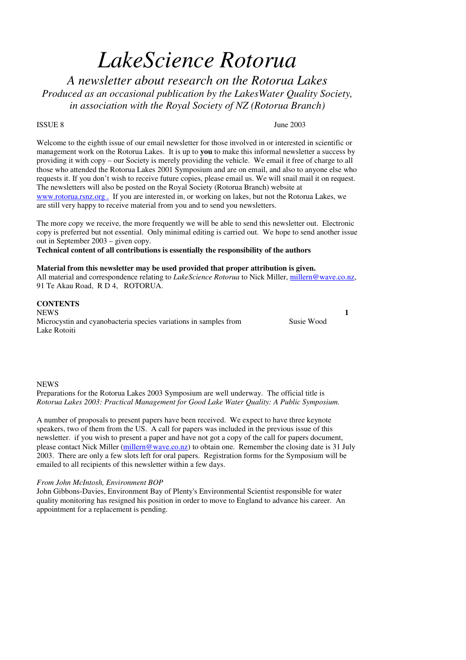# *LakeScience Rotorua*

*A newsletter about research on the Rotorua Lakes Produced as an occasional publication by the LakesWater Quality Society, in association with the Royal Society of NZ (Rotorua Branch)*

ISSUE 8 June 2003

Welcome to the eighth issue of our email newsletter for those involved in or interested in scientific or management work on the Rotorua Lakes. It is up to **you** to make this informal newsletter a success by providing it with copy – our Society is merely providing the vehicle. We email it free of charge to all those who attended the Rotorua Lakes 2001 Symposium and are on email, and also to anyone else who requests it. If you don't wish to receive future copies, please email us. We will snail mail it on request. The newsletters will also be posted on the Royal Society (Rotorua Branch) website at www.rotorua.rsnz.org . If you are interested in, or working on lakes, but not the Rotorua Lakes, we are still very happy to receive material from you and to send you newsletters.

The more copy we receive, the more frequently we will be able to send this newsletter out. Electronic copy is preferred but not essential. Only minimal editing is carried out. We hope to send another issue out in September 2003 – given copy.

**Technical content of all contributions is essentially the responsibility of the authors**

#### **Material from this newsletter may be used provided that proper attribution is given.**

All material and correspondence relating to *LakeScience Rotorua* to Nick Miller, millern@wave.co.nz, 91 Te Akau Road, R D 4, ROTORUA.

## **CONTENTS**

NEWS **1** Microcystin and cyanobacteria species variations in samples from Lake Rotoiti

Susie Wood

#### **NEWS**

Preparations for the Rotorua Lakes 2003 Symposium are well underway. The official title is *Rotorua Lakes 2003: Practical Management for Good Lake Water Quality: A Public Symposium.*

A number of proposals to present papers have been received. We expect to have three keynote speakers, two of them from the US. A call for papers was included in the previous issue of this newsletter. if you wish to present a paper and have not got a copy of the call for papers document, please contact Nick Miller (millern@wave.co.nz) to obtain one. Remember the closing date is 31 July 2003. There are only a few slots left for oral papers. Registration forms for the Symposium will be emailed to all recipients of this newsletter within a few days.

#### *From John McIntosh, Environment BOP*

John Gibbons-Davies, Environment Bay of Plenty's Environmental Scientist responsible for water quality monitoring has resigned his position in order to move to England to advance his career. An appointment for a replacement is pending.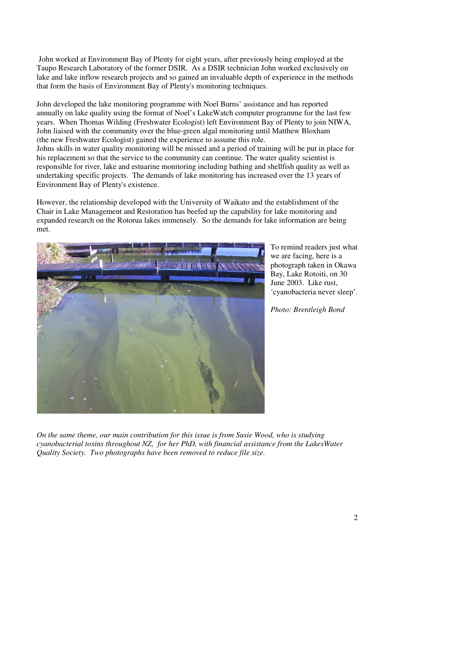John worked at Environment Bay of Plenty for eight years, after previously being employed at the Taupo Research Laboratory of the former DSIR. As a DSIR technician John worked exclusively on lake and lake inflow research projects and so gained an invaluable depth of experience in the methods that form the basis of Environment Bay of Plenty's monitoring techniques.

John developed the lake monitoring programme with Noel Burns' assistance and has reported annually on lake quality using the format of Noel's LakeWatch computer programme for the last few years. When Thomas Wilding (Freshwater Ecologist) left Environment Bay of Plenty to join NIWA, John liaised with the community over the blue-green algal monitoring until Matthew Bloxham (the new Freshwater Ecologist) gained the experience to assume this role. Johns skills in water quality monitoring will be missed and a period of training will be put in place for his replacement so that the service to the community can continue. The water quality scientist is

responsible for river, lake and estuarine monitoring including bathing and shellfish quality as well as undertaking specific projects. The demands of lake monitoring has increased over the 13 years of Environment Bay of Plenty's existence.

However, the relationship developed with the University of Waikato and the establishment of the Chair in Lake Management and Restoration has beefed up the capability for lake monitoring and expanded research on the Rotorua lakes immensely. So the demands for lake information are being met.



To remind readers just what we are facing, here is a photograph taken in Okawa Bay, Lake Rotoiti, on 30 June 2003. Like rust, 'cyanobacteria never sleep'.

*Photo: Brentleigh Bond*

*On the same theme, our main contribution for this issue is from Susie Wood, who is studying cyanobacterial toxins throughout NZ, for her PhD, with financial assistance from the LakesWater Quality Society. Two photographs have been removed to reduce file size.*

### 2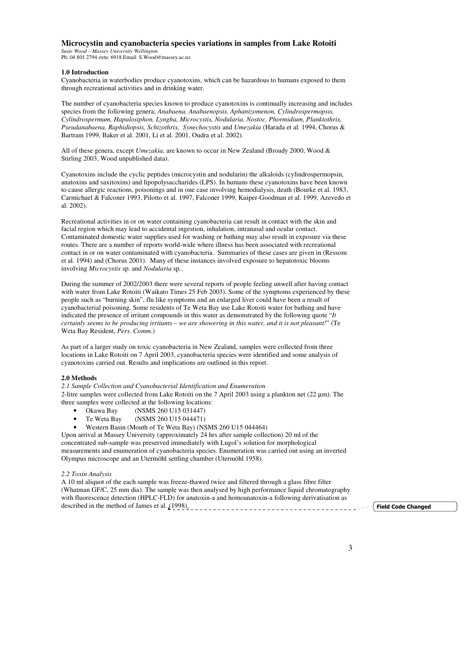#### **Microcystin and cyanobacteria species variations in samples from Lake Rotoiti**

*Susie Wood – Massey University Wellington* Ph: 04 801 2794 extn: 6918 Email: S.Wood@massey.ac.nz

#### **1.0 Introduction**

Cyanobacteria in waterbodies produce cyanotoxins, which can be hazardous to humans exposed to them through recreational activities and in drinking water.

The number of cyanobacteria species known to produce cyanotoxins is continually increasing and includes species from the following genera; *Anabaena, Anabaenopsis, Aphanizomenon, Cylindrospermopsis, Cylindrospermum, Hapalosiphon, Lyngba, Microcystis, Nodularia, Nostoc, Phormidium, Planktothrix, Pseudanabaena, Raphidiopsis, Schizothrix, Synechocystis* and *Umezakia* (Harada et al. 1994, Chorus & Bartram 1999, Baker et al. 2001, Li et al. 2001, Oudra et al. 2002).

All of these genera, except *Umezakia,* are known to occur in New Zealand (Broady 2000, Wood & Stirling 2003, Wood unpublished data).

Cyanotoxins include the cyclic peptides (microcystin and nodularin) the alkaloids (cylindrospermopsin, anatoxins and saxitoxins) and lipopolysaccharides (LPS). In humans these cyanotoxins have been known to cause allergic reactions, poisonings and in one case involving hemodialysis, death (Bourke et al. 1983, Carmichael & Falconer 1993, Pilotto et al. 1997, Falconer 1999, Kuiper-Goodman et al. 1999, Azevedo et al. 2002).

Recreational activities in or on water containing cyanobacteria can result in contact with the skin and facial region which may lead to accidental ingestion, inhalation, intranasal and ocular contact. Contaminated domestic water supplies used for washing or bathing may also result in exposure via these routes. There are a number of reports world-wide where illness has been associated with recreational contact in or on water contaminated with cyanobacteria. Summaries of these cases are given in (Ressom et al. 1994) and (Chorus 2001). Many of these instances involved exposure to hepatotoxic blooms involving *Microcystis* sp*.* and *Nodularia* sp*.*.

During the summer of 2002/2003 there were several reports of people feeling unwell after having contact with water from Lake Rotoiti (Waikato Times 25 Feb 2003). Some of the symptoms experienced by these people such as "burning skin", flu like symptoms and an enlarged liver could have been a result of cyanobacterial poisoning. Some residents of Te Weta Bay use Lake Rotoiti water for bathing and have indicated the presence of irritant compounds in this water as demonstrated by the following quote "*It* certainly seems to be producing irritants – we are showering in this water, and it is not pleasant!" (Te Weta Bay Resident, *Pers. Comm*.)

As part of a larger study on toxic cyanobacteria in New Zealand, samples were collected from three locations in Lake Rotoiti on 7 April 2003, cyanobacteria species were identified and some analysis of cyanotoxins carried out. Results and implications are outlined in this report.

#### **2.0 Methods**

*2.1 Sample Collection and Cyanobacterial Identification and Enumeration*

2-litre samples were collected from Lake Rotoiti on the 7 April 2003 using a plankton net (22 µm). The three samples were collected at the following locations:

- Okawa Bay (NSMS 260 U15 031447)
- Te Weta Bay (NSMS 260 U15 044471)
- Western Basin (Mouth of Te Weta Bay) (NSMS 260 U15 044464)

Upon arrival at Massey University (approximately 24 hrs after sample collection) 20 ml of the concentrated sub-sample was preserved immediately with Lugol's solution for morphological measurements and enumeration of cyanobacteria species. Enumeration was carried out using an inverted Olympus microscope and an Utermöhl settling chamber (Utermöhl 1958).

#### *2.2 Toxin Analysis*

A 10 ml aliquot of the each sample was freeze-thawed twice and filtered through a glass fibre filter (Whatman GF/C, 25 mm dia). The sample was then analysed by high performance liquid chromatography with fluorescence detection (HPLC-FLD) for anatoxin-a and homoanatoxin-a following derivatisation as described in the method of James et al.  $(1998)$ .

eld Code Changed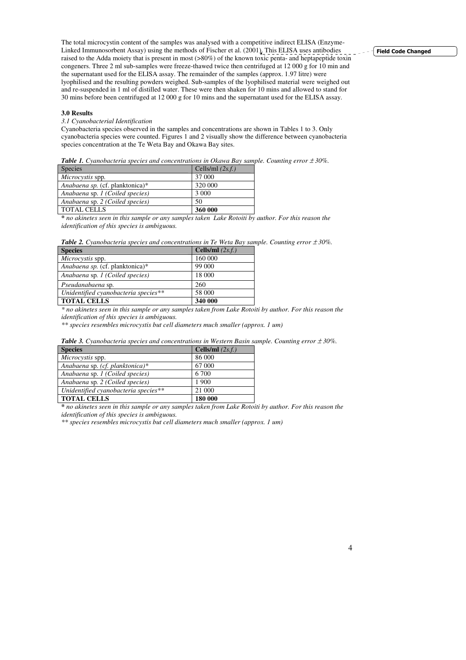The total microcystin content of the samples was analysed with a competitive indirect ELISA (Enzyme-Linked Immunosorbent Assay) using the methods of Fischer et al. (2001). This ELISA uses antibodies raised to the Adda moiety that is present in most (>80%) of the known toxic penta- and heptapeptide toxin congeners. Three 2 ml sub-samples were freeze-thawed twice then centrifuged at 12 000 g for 10 min and the supernatant used for the ELISA assay. The remainder of the samples (approx. 1.97 litre) were lyophilised and the resulting powders weighed. Sub-samples of the lyophilised material were weighed out and re-suspended in 1 ml of distilled water. These were then shaken for 10 mins and allowed to stand for 30 mins before been centrifuged at 12 000 g for 10 mins and the supernatant used for the ELISA assay.

#### **3.0 Results**

#### *3.1 Cyanobacterial Identification*

Cyanobacteria species observed in the samples and concentrations are shown in Tables 1 to 3. Only cyanobacteria species were counted. Figures 1 and 2 visually show the difference between cyanobacteria species concentration at the Te Weta Bay and Okawa Bay sites.

| <b>Species</b>                  | Cells/ml $(2s.f.)$ |  |
|---------------------------------|--------------------|--|
| <i>Microcystis</i> spp.         | 37 000             |  |
| Anabaena sp. (cf. planktonica)* | 320 000            |  |
| Anabaena sp. 1 (Coiled species) | 3 0 0 0            |  |
| Anabaena sp. 2 (Coiled species) | 50                 |  |
| <b>TOTAL CELLS</b>              | 360 000            |  |

*Table 1. Cyanobacteria species and concentrations in Okawa Bay sample. Counting error* <sup>±</sup> *30%.*

\* no akinetes seen in this sample or any samples taken Lake Rotoiti by author. For this reason the *identification of this species is ambiguous.*

|  |  | <b>Table 2.</b> Cyanobacteria species and concentrations in Te Weta Bay sample. Counting error $\pm 30\%$ . |  |  |  |
|--|--|-------------------------------------------------------------------------------------------------------------|--|--|--|
|  |  |                                                                                                             |  |  |  |

| <b>Species</b>                       | Cells/ml $(2s.f.)$ |
|--------------------------------------|--------------------|
| Microcystis spp.                     | 160 000            |
| Anabaena sp. (cf. planktonica)*      | 99 000             |
| Anabaena sp. 1 (Coiled species)      | 18 000             |
| Pseudanabaena sp.                    | 260                |
| Unidentified cyanobacteria species** | 58 000             |
| <b>TOTAL CELLS</b>                   | 340 000            |

\* no akinetes seen in this sample or any samples taken from Lake Rotoiti by author. For this reason the *identification of this species is ambiguous.*

*\*\* species resembles microcystis but cell diameters much smaller (approx. 1 um)*

|  |  |  | <b>Table 3.</b> Cyanobacteria species and concentrations in Western Basin sample. Counting error $\pm 30\%$ . |  |  |  |  |
|--|--|--|---------------------------------------------------------------------------------------------------------------|--|--|--|--|
|--|--|--|---------------------------------------------------------------------------------------------------------------|--|--|--|--|

| <b>Species</b>                       | Cells/ml $(2s.f.)$ |
|--------------------------------------|--------------------|
| Microcystis spp.                     | 86 000             |
| Anabaena sp. (cf. planktonica)*      | 67 000             |
| Anabaena sp. 1 (Coiled species)      | 6 700              |
| Anabaena sp. 2 (Coiled species)      | 1 900              |
| Unidentified cyanobacteria species** | 21 000             |
| <b>TOTAL CELLS</b>                   | 180 000            |

\* no akinetes seen in this sample or any samples taken from Lake Rotoiti by author. For this reason the *identification of this species is ambiguous.*

*\*\* species resembles microcystis but cell diameters much smaller (approx. 1 um)*

#### **Field Code Changed**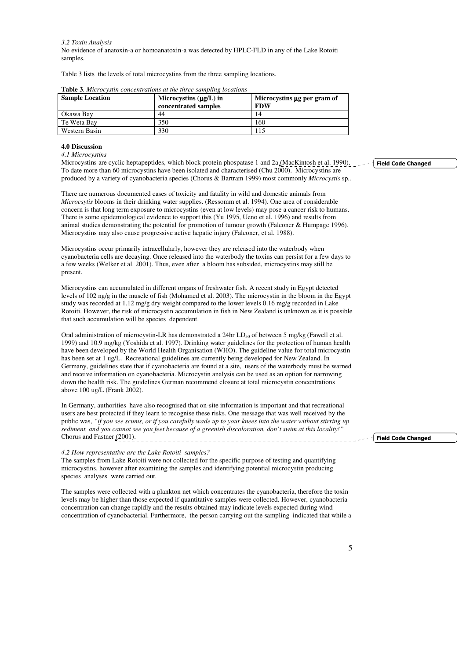*3.2 Toxin Analysis* No evidence of anatoxin-a or homoanatoxin-a was detected by HPLC-FLD in any of the Lake Rotoiti samples.

Table 3 lists the levels of total microcystins from the three sampling locations.

| <b>Sample Location</b> | Microcystins $(\mu g/L)$ in<br>concentrated samples | Microcystins µg per gram of<br><b>FDW</b> |
|------------------------|-----------------------------------------------------|-------------------------------------------|
| Okawa Bav              | 44                                                  | 14                                        |
| Te Weta Bay            | 350                                                 | 160                                       |
| Western Basin          | 330                                                 | 15                                        |

|  | <b>Table 3.</b> Microcystin concentrations at the three sampling locations |  |  |
|--|----------------------------------------------------------------------------|--|--|
|  |                                                                            |  |  |

#### **4.0 Discussion**

*4.1 Microcystins*

Microcystins are cyclic heptapeptides, which block protein phospatase 1 and 2a (MacKintosh et al. 1990). To date more than 60 microcystins have been isolated and characterised (Chu 2000). Microcystins are produced by a variety of cyanobacteria species (Chorus & Bartram 1999) most commonly *Microcystis* sp*..*

There are numerous documented cases of toxicity and fatality in wild and domestic animals from *Microcsytis* blooms in their drinking water supplies. (Ressomm et al. 1994). One area of considerable concern is that long term exposure to microcystins (even at low levels) may pose a cancer risk to humans. There is some epidemiological evidence to support this (Yu 1995, Ueno et al. 1996) and results from animal studies demonstrating the potential for promotion of tumour growth (Falconer & Humpage 1996). Microcystins may also cause progressive active hepatic injury (Falconer, et al. 1988).

Microcystins occur primarily intracellularly, however they are released into the waterbody when cyanobacteria cells are decaying. Once released into the waterbody the toxins can persist for a few days to a few weeks (Welker et al. 2001). Thus, even after a bloom has subsided, microcystins may still be present.

Microcystins can accumulated in different organs of freshwater fish. A recent study in Egypt detected levels of 102 ng/g in the muscle of fish (Mohamed et al. 2003). The microcystin in the bloom in the Egypt study was recorded at 1.12 mg/g dry weight compared to the lower levels 0.16 mg/g recorded in Lake Rotoiti. However, the risk of microcystin accumulation in fish in New Zealand is unknown as it is possible that such accumulation will be species dependent.

Oral administration of microcystin-LR has demonstrated a 24hr LD<sub>50</sub> of between 5 mg/kg (Fawell et al. 1999) and 10.9 mg/kg (Yoshida et al. 1997). Drinking water guidelines for the protection of human health have been developed by the World Health Organisation (WHO). The guideline value for total microcystin has been set at 1 ug/L. Recreational guidelines are currently being developed for New Zealand. In Germany, guidelines state that if cyanobacteria are found at a site, users of the waterbody must be warned and receive information on cyanobacteria. Microcystin analysis can be used as an option for narrowing down the health risk. The guidelines German recommend closure at total microcystin concentrations above 100 ug/L (Frank 2002).

In Germany, authorities have also recognised that on-site information is important and that recreational users are best protected if they learn to recognise these risks. One message that was well received by the public was, "if you see scums, or if you carefully wade up to your knees into the water without stirring up *sediment, and you cannot see you feet because of a greenish discoloration, don't swim at this locality!"* Chorus and Fastner <u>(2001)</u>.

#### *4.2 How representative are the Lake Rotoiti samples?*

The samples from Lake Rotoiti were not collected for the specific purpose of testing and quantifying microcystins, however after examining the samples and identifying potential microcystin producing species analyses were carried out.

The samples were collected with a plankton net which concentrates the cyanobacteria, therefore the toxin levels may be higher than those expected if quantitative samples were collected. However, cyanobacteria concentration can change rapidly and the results obtained may indicate levels expected during wind concentration of cyanobacterial. Furthermore, the person carrying out the sampling indicated that while a **Field Code Changed** 

**Field Code Changed**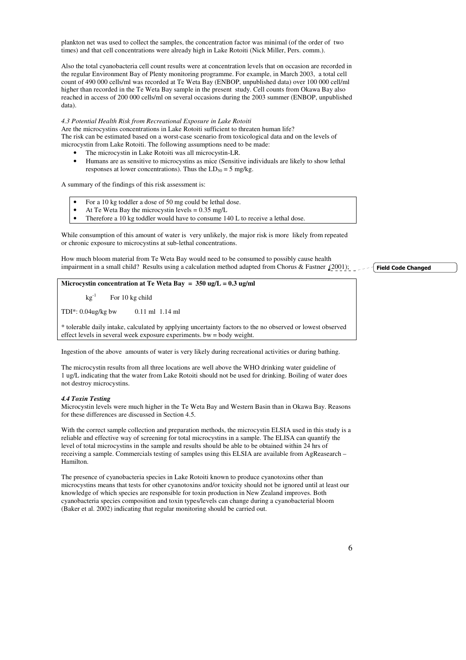plankton net was used to collect the samples, the concentration factor was minimal (of the order of two times) and that cell concentrations were already high in Lake Rotoiti (Nick Miller, Pers. comm.).

Also the total cyanobacteria cell count results were at concentration levels that on occasion are recorded in the regular Environment Bay of Plenty monitoring programme. For example, in March 2003, a total cell count of 490 000 cells/ml was recorded at Te Weta Bay (ENBOP, unpublished data) over 100 000 cell/ml higher than recorded in the Te Weta Bay sample in the present study. Cell counts from Okawa Bay also reached in access of 200 000 cells/ml on several occasions during the 2003 summer (ENBOP, unpublished data).

#### *4.3 Potential Health Risk from Recreational Exposure in Lake Rotoiti*

Are the microcystins concentrations in Lake Rotoiti sufficient to threaten human life? The risk can be estimated based on a worst-case scenario from toxicological data and on the levels of microcystin from Lake Rotoiti. The following assumptions need to be made:

- The microcystin in Lake Rotoiti was all microcystin-LR.
- Humans are as sensitive to microcystins as mice (Sensitive individuals are likely to show lethal responses at lower concentrations). Thus the  $LD_{50} = 5$  mg/kg.

A summary of the findings of this risk assessment is:

- For a 10 kg toddler a dose of 50 mg could be lethal dose.
- At Te Weta Bay the microcystin levels =  $0.35 \text{ mg/L}$
- Therefore a 10 kg toddler would have to consume 140 L to receive a lethal dose

While consumption of this amount of water is very unlikely, the major risk is more likely from repeated or chronic exposure to microcystins at sub-lethal concentrations.

How much bloom material from Te Weta Bay would need to be consumed to possibly cause health impairment in a small child? Results using a calculation method adapted from Chorus & Fastner  $(2001)$ ;

**Microcystin concentration at Te Weta Bay = 350 ug/L = 0.3 ug/ml**

 $kg^{-1}$ For 10 kg child

TDI\*: 0.04ug/kg bw 0.11 ml 1.14 ml

\* tolerable daily intake, calculated by applying uncertainty factors to the no observed or lowest observed effect levels in several week exposure experiments. bw = body weight.

Ingestion of the above amounts of water is very likely during recreational activities or during bathing.

The microcystin results from all three locations are well above the WHO drinking water guideline of 1 ug/L indicating that the water from Lake Rotoiti should not be used for drinking. Boiling of water does not destroy microcystins.

#### *4.4 Toxin Testing*

Microcystin levels were much higher in the Te Weta Bay and Western Basin than in Okawa Bay. Reasons for these differences are discussed in Section 4.5.

With the correct sample collection and preparation methods, the microcystin ELSIA used in this study is a reliable and effective way of screening for total microcystins in a sample. The ELISA can quantify the level of total microcystins in the sample and results should be able to be obtained within 24 hrs of receiving a sample. Commercials testing of samples using this ELSIA are available from AgReasearch – Hamilton.

The presence of cyanobacteria species in Lake Rotoiti known to produce cyanotoxins other than microcystins means that tests for other cyanotoxins and/or toxicity should not be ignored until at least our knowledge of which species are responsible for toxin production in New Zealand improves. Both cyanobacteria species composition and toxin types/levels can change during a cyanobacterial bloom (Baker et al. 2002) indicating that regular monitoring should be carried out.

**Field Code Changed**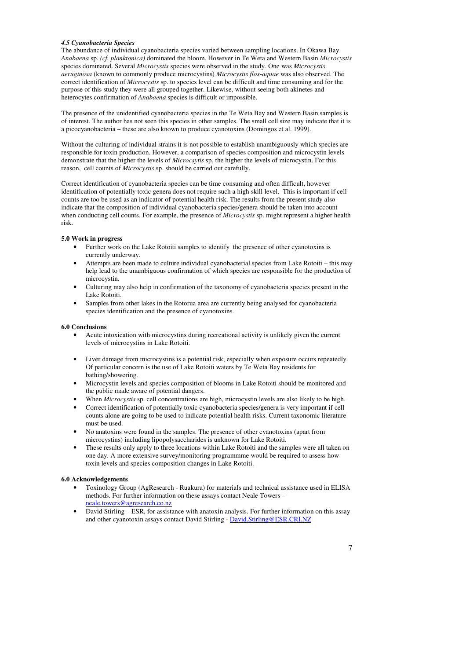#### *4.5 Cyanobacteria Species*

The abundance of individual cyanobacteria species varied between sampling locations. In Okawa Bay *Anabaena* sp. *(cf. planktonica)* dominated the bloom. However in Te Weta and Western Basin *Microcystis* species dominated. Several *Microcystis* species were observed in the study. One was *Microcystis aeruginosa* (known to commonly produce microcystins) *Microcystis flos-aquae* was also observed. The correct identification of *Microcystis* sp. to species level can be difficult and time consuming and for the purpose of this study they were all grouped together. Likewise, without seeing both akinetes and heterocytes confirmation of *Anabaena* species is difficult or impossible.

The presence of the unidentified cyanobacteria species in the Te Weta Bay and Western Basin samples is of interest. The author has not seen this species in other samples. The small cell size may indicate that it is a picocyanobacteria – these are also known to produce cyanotoxins (Domingos et al. 1999).

Without the culturing of individual strains it is not possible to establish unambiguously which species are responsible for toxin production. However, a comparison of species composition and microcystin levels demonstrate that the higher the levels of *Microcsytis* sp. the higher the levels of microcystin. For this reason, cell counts of *Microcystis* sp. should be carried out carefully.

Correct identification of cyanobacteria species can be time consuming and often difficult, however identification of potentially toxic genera does not require such a high skill level. This is important if cell counts are too be used as an indicator of potential health risk. The results from the present study also indicate that the composition of individual cyanobacteria species/genera should be taken into account when conducting cell counts. For example, the presence of *Microcystis* sp. might represent a higher health risk.

### **5.0 Work in progress**

- Further work on the Lake Rotoiti samples to identify the presence of other cyanotoxins is currently underway.
- Attempts are been made to culture individual cyanobacterial species from Lake Rotoiti this may help lead to the unambiguous confirmation of which species are responsible for the production of microcystin.
- Culturing may also help in confirmation of the taxonomy of cyanobacteria species present in the Lake Rotoiti.
- Samples from other lakes in the Rotorua area are currently being analysed for cyanobacteria species identification and the presence of cyanotoxins.

#### **6.0 Conclusions**

- Acute intoxication with microcystins during recreational activity is unlikely given the current levels of microcystins in Lake Rotoiti.
- Liver damage from microcystins is a potential risk, especially when exposure occurs repeatedly. Of particular concern is the use of Lake Rotoiti waters by Te Weta Bay residents for bathing/showering.
- Microcystin levels and species composition of blooms in Lake Rotoiti should be monitored and the public made aware of potential dangers.
- When *Microcystis* sp. cell concentrations are high, microcystin levels are also likely to be high.
- Correct identification of potentially toxic cyanobacteria species/genera is very important if cell counts alone are going to be used to indicate potential health risks. Current taxonomic literature must be used.
- No anatoxins were found in the samples. The presence of other cyanotoxins (apart from microcystins) including lipopolysaccharides is unknown for Lake Rotoiti.
- These results only apply to three locations within Lake Rotoiti and the samples were all taken on one day. A more extensive survey/monitoring programmme would be required to assess how toxin levels and species composition changes in Lake Rotoiti.

#### **6.0 Acknowledgements**

- Toxinology Group (AgResearch Ruakura) for materials and technical assistance used in ELISA methods. For further information on these assays contact Neale Towers – neale.towers@agresearch.co.nz
- David Stirling ESR, for assistance with anatoxin analysis. For further information on this assay and other cyanotoxin assays contact David Stirling - David.Stirling@ESR.CRI.NZ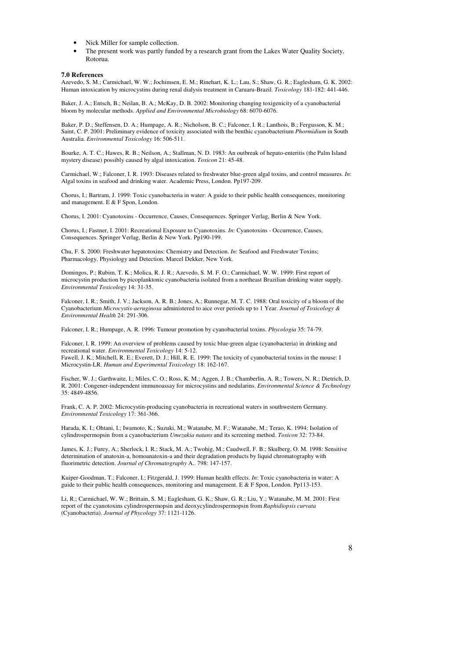- Nick Miller for sample collection.
- The present work was partly funded by a research grant from the Lakes Water Quality Society, Rotorua.

#### **7.0 References**

Azevedo, S. M.; Carmichael, W. W.; Jochimsen, E. M.; Rinehart, K. L.; Lau, S.; Shaw, G. R.; Eaglesham, G. K. 2002: Human intoxication by microcystins during renal dialysis treatment in Caruaru-Brazil. *Toxicology* 181-182: 441-446.

Baker, J. A.; Entsch, B.; Neilan, B. A.; McKay, D. B. 2002: Monitoring changing toxigenicity of a cyanobacterial bloom by molecular methods. *Applied and Environmental Microbiology* 68: 6070-6076.

Baker, P. D.; Steffensen, D. A.; Humpage, A. R.; Nicholson, B. C.; Falconer, I. R.; Lanthois, B.; Fergusson, K. M.; Saint, C. P. 2001: Preliminary evidence of toxicity associated with the benthic cyanobacterium *Phormidium* in South Australia. *Environmental Toxicology* 16: 506-511.

Bourke, A. T. C.; Hawes, R. B.; Neilson, A.; Stallman, N. D. 1983: An outbreak of hepato-enteritis (the Palm Island mystery disease) possibly caused by algal intoxication. *Toxicon* 21: 45-48.

Carmichael, W.; Falconer, I. R. 1993: Diseases related to freshwater blue-green algal toxins, and control measures. *In*: Algal toxins in seafood and drinking water. Academic Press, London. Pp197-209.

Chorus, I.; Bartram, J. 1999: Toxic cyanobacteria in water: A guide to their public health consequences, monitoring and management. E & F Spon, London.

Chorus, I. 2001: Cyanotoxins - Occurrence, Causes, Consequences. Springer Verlag, Berlin & New York.

Chorus, I.; Fastner, I. 2001: Recreational Exposure to Cyanotoxins. *In*: Cyanotoxins - Occurrence, Causes, Consequences. Springer Verlag, Berlin & New York. Pp190-199.

Chu, F. S. 2000: Freshwater hepatotoxins: Chemistry and Detection. *In*: Seafood and Freshwater Toxins; Pharmacology, Physiology and Detection. Marcel Dekker, New York.

Domingos, P.; Rubim, T. K.; Molica, R. J. R.; Azevedo, S. M. F. O.; Carmichael, W. W. 1999: First report of microcystin production by picoplanktonic cyanobacteria isolated from a northeast Brazilian drinking water supply. *Environmental Toxicology* 14: 31-35.

Falconer, I. R.; Smith, J. V.; Jackson, A. R. B.; Jones, A.; Runnegar, M. T. C. 1988: Oral toxicity of a bloom of the Cyanobacterium *Microcystis-aeruginosa* administered to aice over periods up to 1 Year. *Journal of Toxicology & Environmental Health* 24: 291-306.

Falconer, I. R.; Humpage, A. R. 1996: Tumour promotion by cyanobacterial toxins. *Phycologia* 35: 74-79.

Falconer, I. R. 1999: An overview of problems caused by toxic blue-green algae (cyanobacteria) in drinking and recreational water. *Environmental Toxicology* 14: 5-12. Fawell, J. K.; Mitchell, R. E.; Everett, D. J.; Hill, R. E. 1999: The toxicity of cyanobacterial toxins in the mouse: I Microcystin-LR. *Human and Experimental Toxicology* 18: 162-167.

Fischer, W. J.; Garthwaite, I.; Miles, C. O.; Ross, K. M.; Aggen, J. B.; Chamberlin, A. R.; Towers, N. R.; Dietrich, D. R. 2001: Congener-independent immunoassay for microcystins and nodularins. *Environmental Science & Technology* 35: 4849-4856.

Frank, C. A. P. 2002: Microcystin-producing cyanobacteria in recreational waters in southwestern Germany. *Environmental Toxicology* 17: 361-366.

Harada, K. I.; Ohtani, I.; Iwamoto, K.; Suzuki, M.; Watanabe, M. F.; Watanabe, M.; Terao, K. 1994: Isolation of cylindrospermopsin from a cyanobacterium *Umezakia natans* and its screening method. *Toxicon* 32: 73-84.

James, K. J.; Furey, A.; Sherlock, I. R.; Stack, M. A.; Twohig, M.; Caudwell, F. B.; Skulberg, O. M. 1998: Sensitive determination of anatoxin-a, homoanatoxin-a and their degradation products by liquid chromatography with fluorimetric detection. *Journal of Chromatography* A.. 798: 147-157.

Kuiper-Goodman, T.; Falconer, I.; Fitzgerald, J. 1999: Human health effects. *In*: Toxic cyanobacteria in water: A guide to their public health consequences, monitoring and management. E  $&$  F Spon, London. Pp113-153.

Li, R.; Carmichael, W. W.; Brittain, S. M.; Eaglesham, G. K.; Shaw, G. R.; Liu, Y.; Watanabe, M. M. 2001: First report of the cyanotoxins cylindrospermopsin and deoxycylindrospermopsin from *Raphidiopsis curvata* (Cyanobacteria). *Journal of Phycology* 37: 1121-1126.